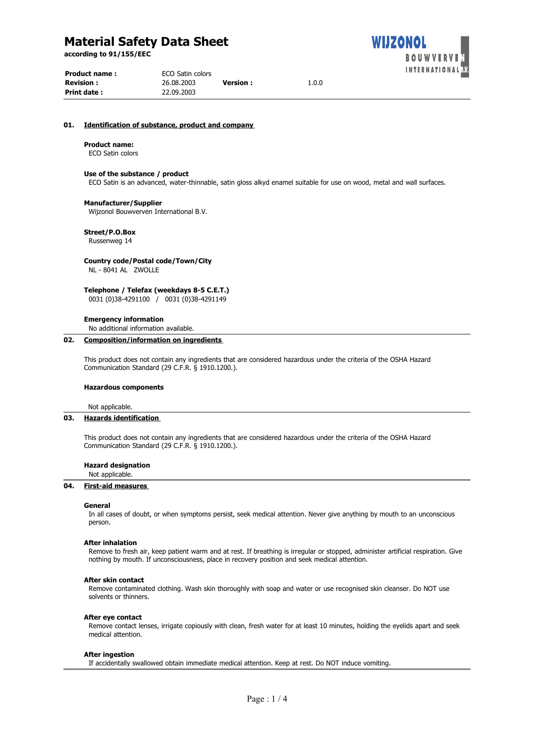**according to 91/155/EEC**

| Product name :   | ECO Satin colors |                 |       |  |
|------------------|------------------|-----------------|-------|--|
| <b>Revision:</b> | 26.08.2003       | <b>Version:</b> | 1.0.0 |  |
| Print date :     | 22.09.2003       |                 |       |  |

## **01. Identification of substance, product and company**

### **Product name:**

ECO Satin colors

## **Use of the substance / product**

ECO Satin is an advanced, water-thinnable, satin gloss alkyd enamel suitable for use on wood, metal and wall surfaces.

WIJZONOL

**BOUWVERV FERNATIONAL** 

#### **Manufacturer/Supplier**

Wijzonol Bouwverven International B.V.

## **Street/P.O.Box**

Russenweg 14

#### **Country code/Postal code/Town/City** NL - 8041 AL ZWOLLE

**Telephone / Telefax (weekdays 8-5 C.E.T.)** 0031 (0)38-4291100 / 0031 (0)38-4291149

**Emergency information**

No additional information available.

## **02. Composition/information on ingredients**

This product does not contain any ingredients that are considered hazardous under the criteria of the OSHA Hazard Communication Standard (29 C.F.R. § 1910.1200.).

## **Hazardous components**

Not applicable.

## **03. Hazards identification**

This product does not contain any ingredients that are considered hazardous under the criteria of the OSHA Hazard Communication Standard (29 C.F.R. § 1910.1200.).

#### **Hazard designation**

Not applicable.

## **04. First-aid measures**

#### **General**

In all cases of doubt, or when symptoms persist, seek medical attention. Never give anything by mouth to an unconscious person.

#### **After inhalation**

Remove to fresh air, keep patient warm and at rest. If breathing is irregular or stopped, administer artificial respiration. Give nothing by mouth. If unconsciousness, place in recovery position and seek medical attention.

#### **After skin contact**

Remove contaminated clothing. Wash skin thoroughly with soap and water or use recognised skin cleanser. Do NOT use solvents or thinners.

#### **After eye contact**

Remove contact lenses, irrigate copiously with clean, fresh water for at least 10 minutes, holding the eyelids apart and seek medical attention.

#### **After ingestion**

If accidentally swallowed obtain immediate medical attention. Keep at rest. Do NOT induce vomiting.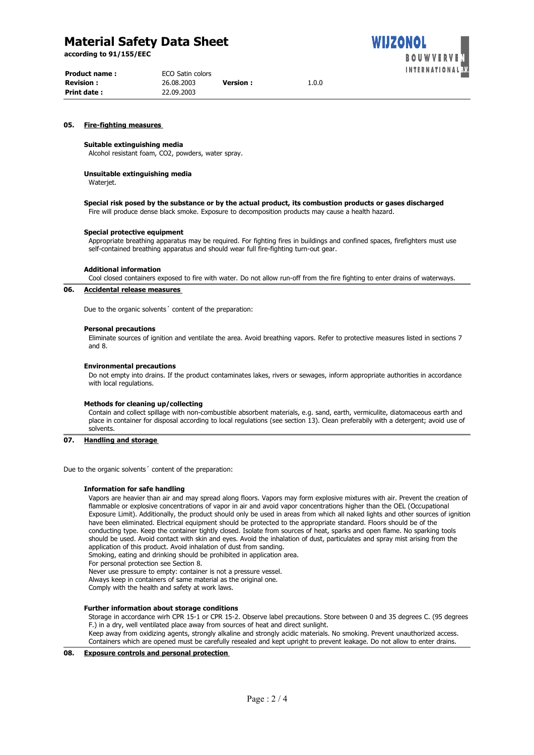**according to 91/155/EEC**

| <b>Product name:</b> | ECO Satin colors |                 |       |
|----------------------|------------------|-----------------|-------|
| <b>Revision:</b>     | 26.08.2003       | <b>Version:</b> | 1.0.0 |
| <b>Print date:</b>   | 22.09.2003       |                 |       |



## **05. Fire-fighting measures**

## **Suitable extinguishing media**

Alcohol resistant foam, CO2, powders, water spray.

#### **Unsuitable extinguishing media**

Wateriet.

#### **Special risk posed by the substance or by the actual product, its combustion products or gases discharged** Fire will produce dense black smoke. Exposure to decomposition products may cause a health hazard.

#### **Special protective equipment**

Appropriate breathing apparatus may be required. For fighting fires in buildings and confined spaces, firefighters must use self-contained breathing apparatus and should wear full fire-fighting turn-out gear.

## **Additional information**

Cool closed containers exposed to fire with water. Do not allow run-off from the fire fighting to enter drains of waterways.

## **06. Accidental release measures**

Due to the organic solvents´ content of the preparation:

#### **Personal precautions**

Eliminate sources of ignition and ventilate the area. Avoid breathing vapors. Refer to protective measures listed in sections 7 and 8.

#### **Environmental precautions**

Do not empty into drains. If the product contaminates lakes, rivers or sewages, inform appropriate authorities in accordance with local regulations.

#### **Methods for cleaning up/collecting**

Contain and collect spillage with non-combustible absorbent materials, e.g. sand, earth, vermiculite, diatomaceous earth and place in container for disposal according to local regulations (see section 13). Clean preferabily with a detergent; avoid use of solvents.

### **07. Handling and storage**

Due to the organic solvents´ content of the preparation:

## **Information for safe handling**

Vapors are heavier than air and may spread along floors. Vapors may form explosive mixtures with air. Prevent the creation of flammable or explosive concentrations of vapor in air and avoid vapor concentrations higher than the OEL (Occupational Exposure Limit). Additionally, the product should only be used in areas from which all naked lights and other sources of ignition have been eliminated. Electrical equipment should be protected to the appropriate standard. Floors should be of the conducting type. Keep the container tightly closed. Isolate from sources of heat, sparks and open flame. No sparking tools should be used. Avoid contact with skin and eyes. Avoid the inhalation of dust, particulates and spray mist arising from the application of this product. Avoid inhalation of dust from sanding.

Smoking, eating and drinking should be prohibited in application area.

For personal protection see Section 8.

Never use pressure to empty: container is not a pressure vessel.

Always keep in containers of same material as the original one.

Comply with the health and safety at work laws.

#### **Further information about storage conditions**

Storage in accordance wirh CPR 15-1 or CPR 15-2. Observe label precautions. Store between 0 and 35 degrees C. (95 degrees F.) in a dry, well ventilated place away from sources of heat and direct sunlight.

Keep away from oxidizing agents, strongly alkaline and strongly acidic materials. No smoking. Prevent unauthorized access. Containers which are opened must be carefully resealed and kept upright to prevent leakage. Do not allow to enter drains.

**08. Exposure controls and personal protection**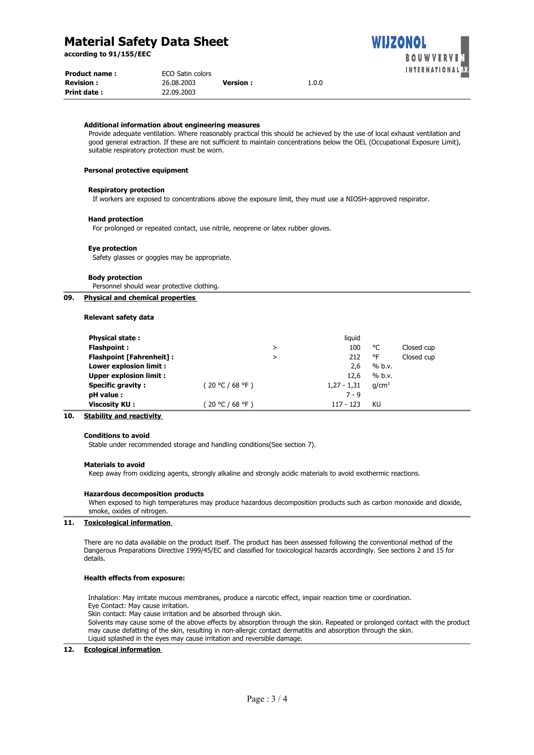**according to 91/155/EEC**

| <b>Product name:</b> |            | <b>ECO Satin colors</b> |       |  |  |
|----------------------|------------|-------------------------|-------|--|--|
| <b>Revision :</b>    | 26.08.2003 | <b>Version :</b>        | 1.0.0 |  |  |
| Print date :         | 22.09.2003 |                         |       |  |  |

#### **Additional information about engineering measures**

Provide adequate ventilation. Where reasonably practical this should be achieved by the use of local exhaust ventilation and good general extraction. If these are not sufficient to maintain concentrations below the OEL (Occupational Exposure Limit), suitable respiratory protection must be worn.

WIJZONOL

**BOUWVE** 

## **Personal protective equipment**

#### **Respiratory protection**

If workers are exposed to concentrations above the exposure limit, they must use a NIOSH-approved respirator.

# **Hand protection**

For prolonged or repeated contact, use nitrile, neoprene or latex rubber gloves.

## **Eye protection**

Safety glasses or goggles may be appropriate.

#### **Body protection**

Personnel should wear protective clothing.

## **09. Physical and chemical properties**

## **Relevant safety data**

| <b>Physical state:</b>          |                  |   | liquid        |                   |            |
|---------------------------------|------------------|---|---------------|-------------------|------------|
| <b>Flashpoint:</b>              |                  | ⋗ | 100           | °C                | Closed cup |
| <b>Flashpoint [Fahrenheit]:</b> |                  | > | 212           | °F                | Closed cup |
| Lower explosion limit :         |                  |   | 2,6           | % b.v.            |            |
| <b>Upper explosion limit:</b>   |                  |   | 12.6          | % b.v.            |            |
| <b>Specific gravity:</b>        | (20 °C / 68 °F ) |   | $1,27 - 1,31$ | q/cm <sup>3</sup> |            |
| pH value :                      |                  |   | $7 - 9$       |                   |            |
| <b>Viscosity KU:</b>            | ′20 °C / 68 °F ) |   | $117 - 123$   | KU                |            |

## **10. Stability and reactivity**

## **Conditions to avoid**

Stable under recommended storage and handling conditions(See section 7).

#### **Materials to avoid**

Keep away from oxidizing agents, strongly alkaline and strongly acidic materials to avoid exothermic reactions.

### **Hazardous decomposition products**

When exposed to high temperatures may produce hazardous decomposition products such as carbon monoxide and dioxide, smoke, oxides of nitrogen.

## **11. Toxicological information**

There are no data available on the product itself. The product has been assessed following the conventional method of the Dangerous Preparations Directive 1999/45/EC and classified for toxicological hazards accordingly. See sections 2 and 15 for details.

#### **Health effects from exposure:**

Inhalation: May irritate mucous membranes, produce a narcotic effect, impair reaction time or coordination. Eye Contact: May cause irritation.

Skin contact: May cause irritation and be absorbed through skin.

Solvents may cause some of the above effects by absorption through the skin. Repeated or prolonged contact with the product may cause defatting of the skin, resulting in non-allergic contact dermatitis and absorption through the skin. Liquid splashed in the eyes may cause irritation and reversible damage.

#### **12. Ecological information**